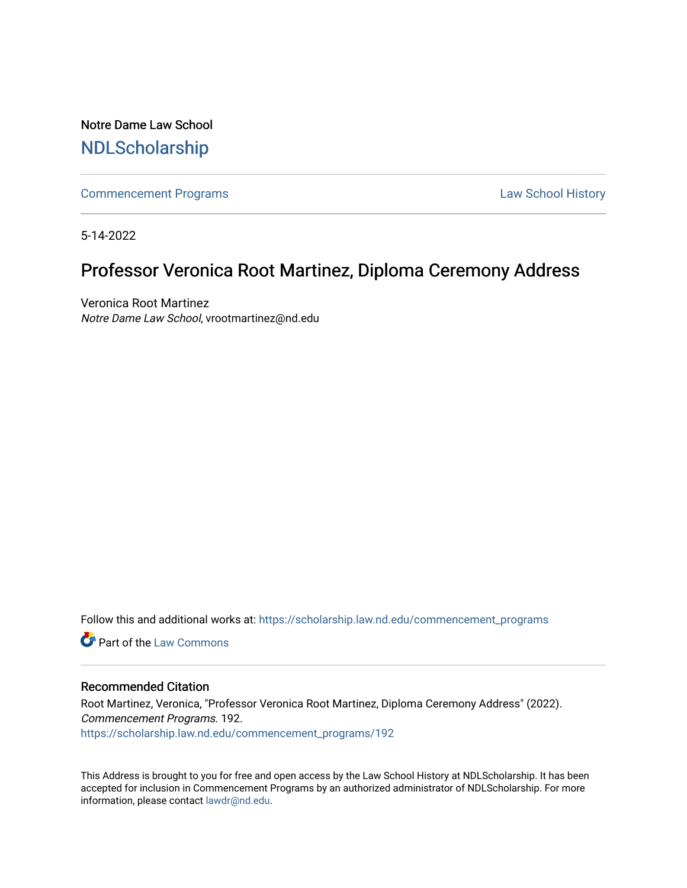Notre Dame Law School [NDLScholarship](https://scholarship.law.nd.edu/)

[Commencement Programs](https://scholarship.law.nd.edu/commencement_programs) **Law School History** Law School History

5-14-2022

## Professor Veronica Root Martinez, Diploma Ceremony Address

Veronica Root Martinez Notre Dame Law School, vrootmartinez@nd.edu

Follow this and additional works at: [https://scholarship.law.nd.edu/commencement\\_programs](https://scholarship.law.nd.edu/commencement_programs?utm_source=scholarship.law.nd.edu%2Fcommencement_programs%2F192&utm_medium=PDF&utm_campaign=PDFCoverPages)

**C** Part of the [Law Commons](https://network.bepress.com/hgg/discipline/578?utm_source=scholarship.law.nd.edu%2Fcommencement_programs%2F192&utm_medium=PDF&utm_campaign=PDFCoverPages)

## Recommended Citation

Root Martinez, Veronica, "Professor Veronica Root Martinez, Diploma Ceremony Address" (2022). Commencement Programs. 192. [https://scholarship.law.nd.edu/commencement\\_programs/192](https://scholarship.law.nd.edu/commencement_programs/192?utm_source=scholarship.law.nd.edu%2Fcommencement_programs%2F192&utm_medium=PDF&utm_campaign=PDFCoverPages)

This Address is brought to you for free and open access by the Law School History at NDLScholarship. It has been accepted for inclusion in Commencement Programs by an authorized administrator of NDLScholarship. For more information, please contact [lawdr@nd.edu.](mailto:lawdr@nd.edu)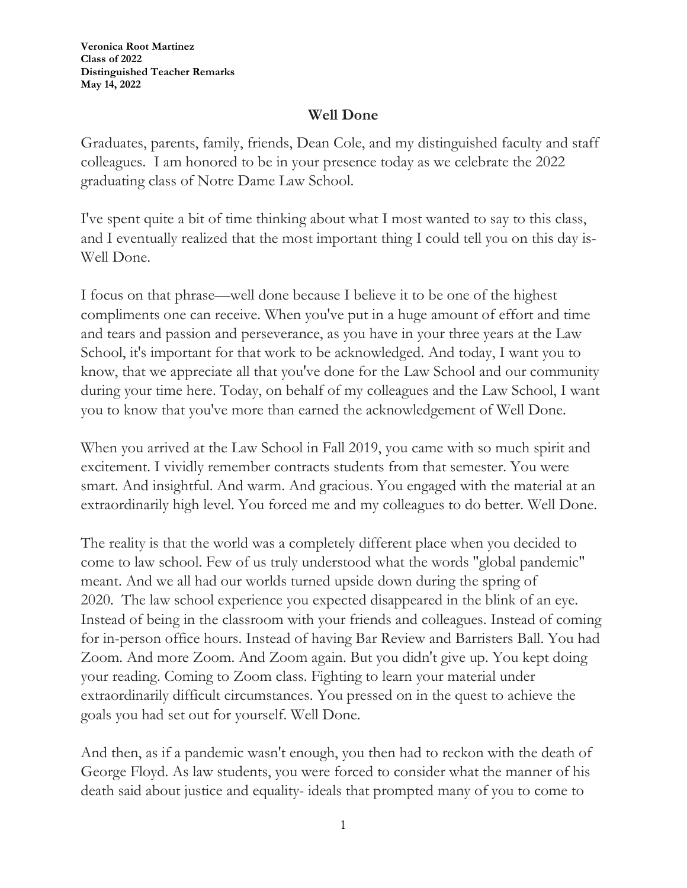**Veronica Root Martinez Class of 2022 Distinguished Teacher Remarks May 14, 2022**

## **Well Done**

Graduates, parents, family, friends, Dean Cole, and my distinguished faculty and staff colleagues. I am honored to be in your presence today as we celebrate the 2022 graduating class of Notre Dame Law School.

I've spent quite a bit of time thinking about what I most wanted to say to this class, and I eventually realized that the most important thing I could tell you on this day is-Well Done.

I focus on that phrase—well done because I believe it to be one of the highest compliments one can receive. When you've put in a huge amount of effort and time and tears and passion and perseverance, as you have in your three years at the Law School, it's important for that work to be acknowledged. And today, I want you to know, that we appreciate all that you've done for the Law School and our community during your time here. Today, on behalf of my colleagues and the Law School, I want you to know that you've more than earned the acknowledgement of Well Done.

When you arrived at the Law School in Fall 2019, you came with so much spirit and excitement. I vividly remember contracts students from that semester. You were smart. And insightful. And warm. And gracious. You engaged with the material at an extraordinarily high level. You forced me and my colleagues to do better. Well Done.

The reality is that the world was a completely different place when you decided to come to law school. Few of us truly understood what the words "global pandemic" meant. And we all had our worlds turned upside down during the spring of 2020. The law school experience you expected disappeared in the blink of an eye. Instead of being in the classroom with your friends and colleagues. Instead of coming for in-person office hours. Instead of having Bar Review and Barristers Ball. You had Zoom. And more Zoom. And Zoom again. But you didn't give up. You kept doing your reading. Coming to Zoom class. Fighting to learn your material under extraordinarily difficult circumstances. You pressed on in the quest to achieve the goals you had set out for yourself. Well Done.

And then, as if a pandemic wasn't enough, you then had to reckon with the death of George Floyd. As law students, you were forced to consider what the manner of his death said about justice and equality- ideals that prompted many of you to come to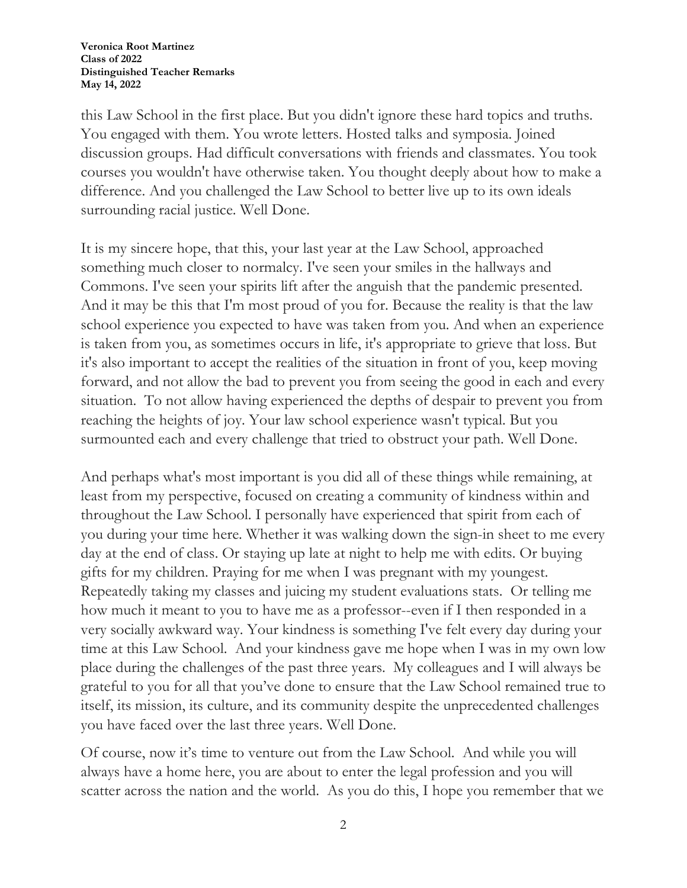**Veronica Root Martinez Class of 2022 Distinguished Teacher Remarks May 14, 2022**

this Law School in the first place. But you didn't ignore these hard topics and truths. You engaged with them. You wrote letters. Hosted talks and symposia. Joined discussion groups. Had difficult conversations with friends and classmates. You took courses you wouldn't have otherwise taken. You thought deeply about how to make a difference. And you challenged the Law School to better live up to its own ideals surrounding racial justice. Well Done.

It is my sincere hope, that this, your last year at the Law School, approached something much closer to normalcy. I've seen your smiles in the hallways and Commons. I've seen your spirits lift after the anguish that the pandemic presented. And it may be this that I'm most proud of you for. Because the reality is that the law school experience you expected to have was taken from you. And when an experience is taken from you, as sometimes occurs in life, it's appropriate to grieve that loss. But it's also important to accept the realities of the situation in front of you, keep moving forward, and not allow the bad to prevent you from seeing the good in each and every situation. To not allow having experienced the depths of despair to prevent you from reaching the heights of joy. Your law school experience wasn't typical. But you surmounted each and every challenge that tried to obstruct your path. Well Done.

And perhaps what's most important is you did all of these things while remaining, at least from my perspective, focused on creating a community of kindness within and throughout the Law School. I personally have experienced that spirit from each of you during your time here. Whether it was walking down the sign-in sheet to me every day at the end of class. Or staying up late at night to help me with edits. Or buying gifts for my children. Praying for me when I was pregnant with my youngest. Repeatedly taking my classes and juicing my student evaluations stats. Or telling me how much it meant to you to have me as a professor--even if I then responded in a very socially awkward way. Your kindness is something I've felt every day during your time at this Law School. And your kindness gave me hope when I was in my own low place during the challenges of the past three years. My colleagues and I will always be grateful to you for all that you've done to ensure that the Law School remained true to itself, its mission, its culture, and its community despite the unprecedented challenges you have faced over the last three years. Well Done.

Of course, now it's time to venture out from the Law School. And while you will always have a home here, you are about to enter the legal profession and you will scatter across the nation and the world. As you do this, I hope you remember that we